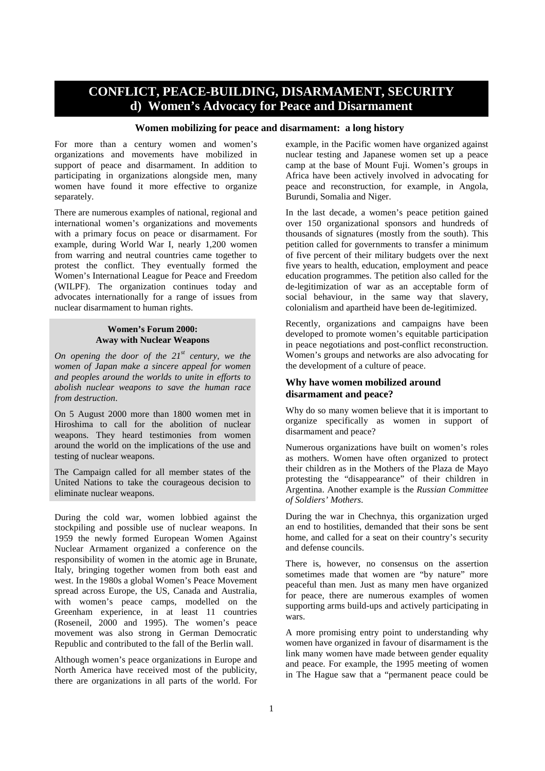# **CONFLICT, PEACE-BUILDING, DISARMAMENT, SECURITY d) Women's Advocacy for Peace and Disarmament**

### **Women mobilizing for peace and disarmament: a long history**

For more than a century women and women's organizations and movements have mobilized in support of peace and disarmament. In addition to participating in organizations alongside men, many women have found it more effective to organize separately.

There are numerous examples of national, regional and international women's organizations and movements with a primary focus on peace or disarmament. For example, during World War I, nearly 1,200 women from warring and neutral countries came together to protest the conflict. They eventually formed the Women's International League for Peace and Freedom (WILPF). The organization continues today and advocates internationally for a range of issues from nuclear disarmament to human rights.

### **Women's Forum 2000: Away with Nuclear Weapons**

*On opening the door of the 21st century, we the women of Japan make a sincere appeal for women and peoples around the worlds to unite in efforts to abolish nuclear weapons to save the human race from destruction*.

On 5 August 2000 more than 1800 women met in Hiroshima to call for the abolition of nuclear weapons. They heard testimonies from women around the world on the implications of the use and testing of nuclear weapons.

The Campaign called for all member states of the United Nations to take the courageous decision to eliminate nuclear weapons.

During the cold war, women lobbied against the stockpiling and possible use of nuclear weapons. In 1959 the newly formed European Women Against Nuclear Armament organized a conference on the responsibility of women in the atomic age in Brunate, Italy, bringing together women from both east and west. In the 1980s a global Women's Peace Movement spread across Europe, the US, Canada and Australia, with women's peace camps, modelled on the Greenham experience, in at least 11 countries (Roseneil, 2000 and 1995). The women's peace movement was also strong in German Democratic Republic and contributed to the fall of the Berlin wall.

Although women's peace organizations in Europe and North America have received most of the publicity, there are organizations in all parts of the world. For example, in the Pacific women have organized against nuclear testing and Japanese women set up a peace camp at the base of Mount Fuji. Women's groups in Africa have been actively involved in advocating for peace and reconstruction, for example, in Angola, Burundi, Somalia and Niger.

In the last decade, a women's peace petition gained over 150 organizational sponsors and hundreds of thousands of signatures (mostly from the south). This petition called for governments to transfer a minimum of five percent of their military budgets over the next five years to health, education, employment and peace education programmes. The petition also called for the de-legitimization of war as an acceptable form of social behaviour, in the same way that slavery, colonialism and apartheid have been de-legitimized.

Recently, organizations and campaigns have been developed to promote women's equitable participation in peace negotiations and post-conflict reconstruction. Women's groups and networks are also advocating for the development of a culture of peace.

### **Why have women mobilized around disarmament and peace?**

Why do so many women believe that it is important to organize specifically as women in support of disarmament and peace?

Numerous organizations have built on women's roles as mothers. Women have often organized to protect their children as in the Mothers of the Plaza de Mayo protesting the "disappearance" of their children in Argentina. Another example is the *Russian Committee of Soldiers' Mothers*.

During the war in Chechnya, this organization urged an end to hostilities, demanded that their sons be sent home, and called for a seat on their country's security and defense councils.

There is, however, no consensus on the assertion sometimes made that women are "by nature" more peaceful than men. Just as many men have organized for peace, there are numerous examples of women supporting arms build-ups and actively participating in wars.

A more promising entry point to understanding why women have organized in favour of disarmament is the link many women have made between gender equality and peace. For example, the 1995 meeting of women in The Hague saw that a "permanent peace could be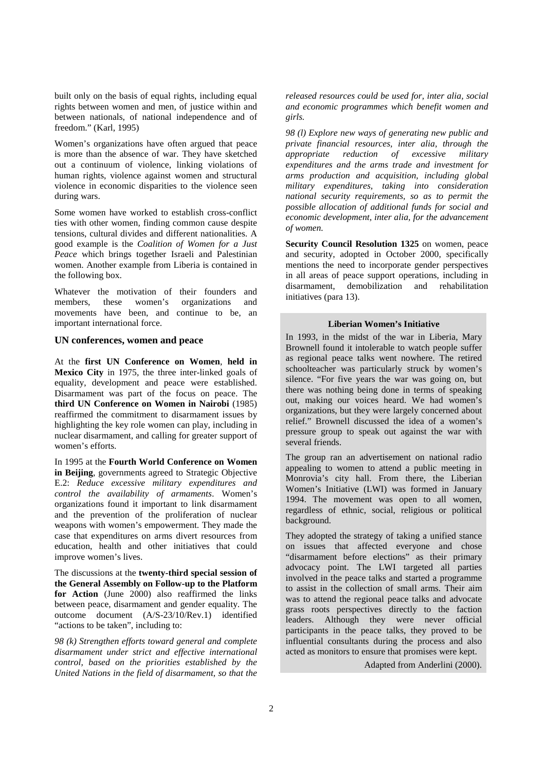built only on the basis of equal rights, including equal rights between women and men, of justice within and between nationals, of national independence and of freedom." (Karl, 1995)

Women's organizations have often argued that peace is more than the absence of war. They have sketched out a continuum of violence, linking violations of human rights, violence against women and structural violence in economic disparities to the violence seen during wars.

Some women have worked to establish cross-conflict ties with other women, finding common cause despite tensions, cultural divides and different nationalities. A good example is the *Coalition of Women for a Just Peace* which brings together Israeli and Palestinian women. Another example from Liberia is contained in the following box.

Whatever the motivation of their founders and members, these women's organizations and movements have been, and continue to be, an important international force.

### **UN conferences, women and peace**

At the **first UN Conference on Women**, **held in Mexico City** in 1975, the three inter-linked goals of equality, development and peace were established. Disarmament was part of the focus on peace. The **third UN Conference on Women in Nairobi** (1985) reaffirmed the commitment to disarmament issues by highlighting the key role women can play, including in nuclear disarmament, and calling for greater support of women's efforts.

In 1995 at the **Fourth World Conference on Women in Beijing**, governments agreed to Strategic Objective E.2: *Reduce excessive military expenditures and control the availability of armaments*. Women's organizations found it important to link disarmament and the prevention of the proliferation of nuclear weapons with women's empowerment. They made the case that expenditures on arms divert resources from education, health and other initiatives that could improve women's lives.

The discussions at the **twenty-third special session of the General Assembly on Follow-up to the Platform for Action** (June 2000) also reaffirmed the links between peace, disarmament and gender equality. The outcome document (A/S-23/10/Rev.1) identified "actions to be taken", including to:

*98 (k) Strengthen efforts toward general and complete disarmament under strict and effective international control, based on the priorities established by the United Nations in the field of disarmament, so that the*

*released resources could be used for, inter alia, social and economic programmes which benefit women and girls.*

*98 (l) Explore new ways of generating new public and private financial resources, inter alia, through the appropriate reduction of excessive military expenditures and the arms trade and investment for arms production and acquisition, including global military expenditures, taking into consideration national security requirements, so as to permit the possible allocation of additional funds for social and economic development, inter alia, for the advancement of women.*

**Security Council Resolution 1325** on women, peace and security, adopted in October 2000, specifically mentions the need to incorporate gender perspectives in all areas of peace support operations, including in disarmament, demobilization and rehabilitation initiatives (para 13).

#### **Liberian Women's Initiative**

In 1993, in the midst of the war in Liberia, Mary Brownell found it intolerable to watch people suffer as regional peace talks went nowhere. The retired schoolteacher was particularly struck by women's silence. "For five years the war was going on, but there was nothing being done in terms of speaking out, making our voices heard. We had women's organizations, but they were largely concerned about relief." Brownell discussed the idea of a women's pressure group to speak out against the war with several friends.

The group ran an advertisement on national radio appealing to women to attend a public meeting in Monrovia's city hall. From there, the Liberian Women's Initiative (LWI) was formed in January 1994. The movement was open to all women, regardless of ethnic, social, religious or political background.

They adopted the strategy of taking a unified stance on issues that affected everyone and chose "disarmament before elections" as their primary advocacy point. The LWI targeted all parties involved in the peace talks and started a programme to assist in the collection of small arms. Their aim was to attend the regional peace talks and advocate grass roots perspectives directly to the faction leaders. Although they were never official participants in the peace talks, they proved to be influential consultants during the process and also acted as monitors to ensure that promises were kept.

Adapted from Anderlini (2000).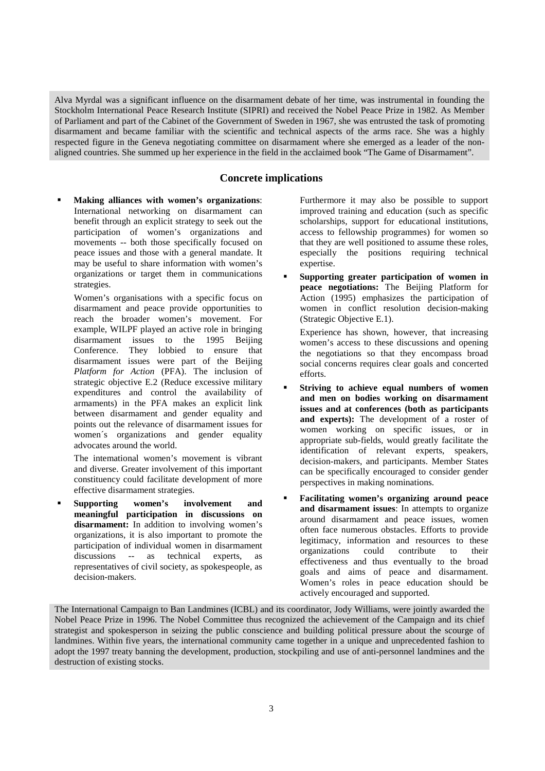Alva Myrdal was a significant influence on the disarmament debate of her time, was instrumental in founding the Stockholm International Peace Research Institute (SIPRI) and received the Nobel Peace Prize in 1982. As Member of Parliament and part of the Cabinet of the Government of Sweden in 1967, she was entrusted the task of promoting disarmament and became familiar with the scientific and technical aspects of the arms race. She was a highly respected figure in the Geneva negotiating committee on disarmament where she emerged as a leader of the nonaligned countries. She summed up her experience in the field in the acclaimed book "The Game of Disarmament".

## **Concrete implications**

 **Making alliances with women's organizations**: International networking on disarmament can benefit through an explicit strategy to seek out the participation of women's organizations and movements -- both those specifically focused on peace issues and those with a general mandate. It may be useful to share information with women's organizations or target them in communications strategies.

Women's organisations with a specific focus on disarmament and peace provide opportunities to reach the broader women's movement. For example, WILPF played an active role in bringing disarmament issues to the 1995 Beijing Conference. They lobbied to ensure that disarmament issues were part of the Beijing *Platform for Action* (PFA). The inclusion of strategic objective E.2 (Reduce excessive military expenditures and control the availability of armaments) in the PFA makes an explicit link between disarmament and gender equality and points out the relevance of disarmament issues for women´s organizations and gender equality advocates around the world.

The intemational women's movement is vibrant and diverse. Greater involvement of this important constituency could facilitate development of more effective disarmament strategies.

 **Supporting women's involvement and meaningful participation in discussions on disarmament:** In addition to involving women's organizations, it is also important to promote the participation of individual women in disarmament discussions -- as technical experts, as representatives of civil society, as spokespeople, as decision-makers.

Furthermore it may also be possible to support improved training and education (such as specific scholarships, support for educational institutions, access to fellowship programmes) for women so that they are well positioned to assume these roles, especially the positions requiring technical expertise.

 **Supporting greater participation of women in peace negotiations:** The Beijing Platform for Action (1995) emphasizes the participation of women in conflict resolution decision-making (Strategic Objective E.1).

Experience has shown, however, that increasing women's access to these discussions and opening the negotiations so that they encompass broad social concerns requires clear goals and concerted efforts.

- **Striving to achieve equal numbers of women and men on bodies working on disarmament issues and at conferences (both as participants and experts):** The development of a roster of women working on specific issues, or in appropriate sub-fields, would greatly facilitate the identification of relevant experts, speakers, decision-makers, and participants. Member States can be specifically encouraged to consider gender perspectives in making nominations.
- **Facilitating women's organizing around peace and disarmament issues**: In attempts to organize around disarmament and peace issues, women often face numerous obstacles. Efforts to provide legitimacy, information and resources to these organizations could contribute to their effectiveness and thus eventually to the broad goals and aims of peace and disarmament. Women's roles in peace education should be actively encouraged and supported.

The International Campaign to Ban Landmines (ICBL) and its coordinator, Jody Williams, were jointly awarded the Nobel Peace Prize in 1996. The Nobel Committee thus recognized the achievement of the Campaign and its chief strategist and spokesperson in seizing the public conscience and building political pressure about the scourge of landmines. Within five years, the international community came together in a unique and unprecedented fashion to adopt the 1997 treaty banning the development, production, stockpiling and use of anti-personnel landmines and the destruction of existing stocks.